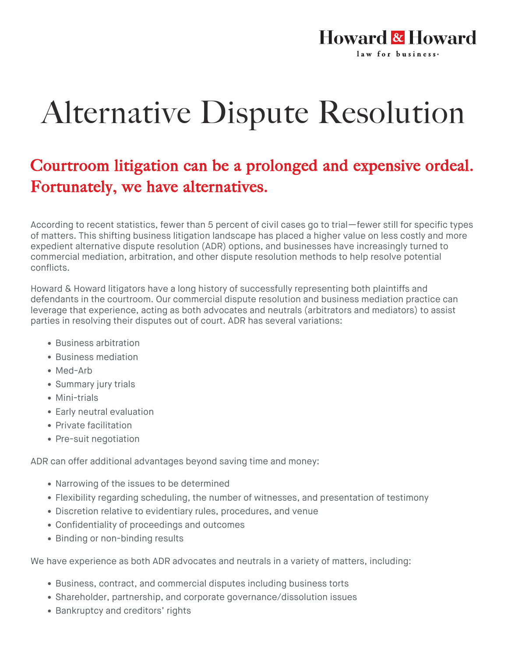

## Alternative Dispute Resolution

## Courtroom litigation can be a prolonged and expensive ordeal. Fortunately, we have alternatives.

According to recent statistics, fewer than 5 percent of civil cases go to trial—fewer still for specific types of matters. This shifting business litigation landscape has placed a higher value on less costly and more expedient alternative dispute resolution (ADR) options, and businesses have increasingly turned to commercial mediation, arbitration, and other dispute resolution methods to help resolve potential conflicts.

Howard & Howard litigators have a long history of successfully representing both plaintiffs and defendants in the courtroom. Our commercial dispute resolution and business mediation practice can leverage that experience, acting as both advocates and neutrals (arbitrators and mediators) to assist parties in resolving their disputes out of court. ADR has several variations:

- Business arbitration
- Business mediation
- Med-Arb
- Summary jury trials
- Mini-trials
- Early neutral evaluation
- Private facilitation
- Pre-suit negotiation

ADR can offer additional advantages beyond saving time and money:

- Narrowing of the issues to be determined
- Flexibility regarding scheduling, the number of witnesses, and presentation of testimony
- Discretion relative to evidentiary rules, procedures, and venue
- Confidentiality of proceedings and outcomes
- Binding or non-binding results

We have experience as both ADR advocates and neutrals in a variety of matters, including:

- Business, contract, and commercial disputes including business torts
- Shareholder, partnership, and corporate governance/dissolution issues
- Bankruptcy and creditors' rights